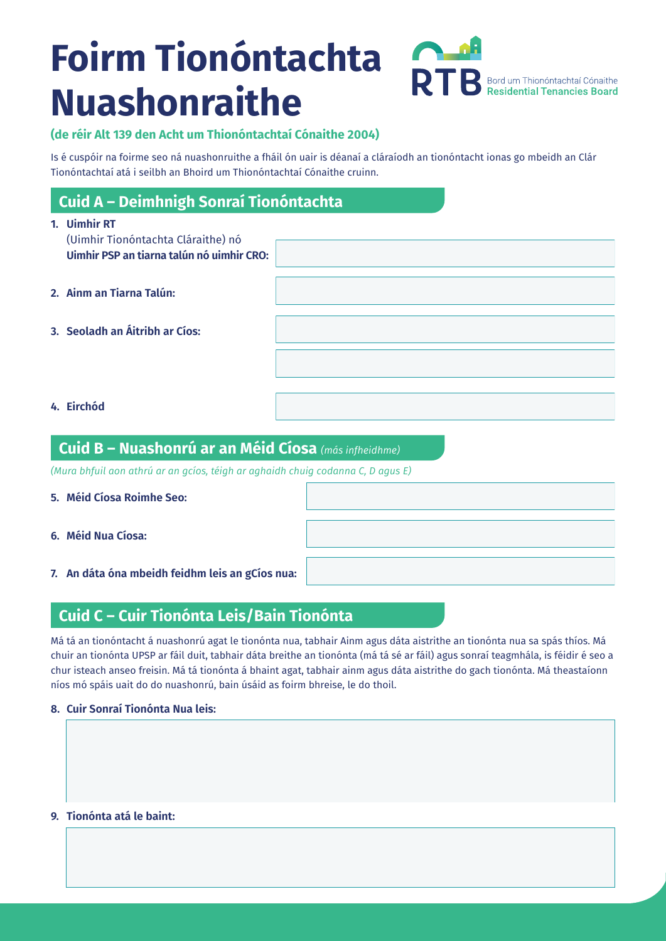# **Foirm Tionóntachta Nuashonraithe**

Bord um Thionóntachtaí Cónaithe<br>**Residential Tenancies Board** 

### **(de réir Alt 139 den Acht um Thionóntachtaí Cónaithe 2004)**

Is é cuspóir na foirme seo ná nuashonruithe a fháil ón uair is déanaí a cláraíodh an tionóntacht ionas go mbeidh an Clár Tionóntachtaí atá i seilbh an Bhoird um Thionóntachtaí Cónaithe cruinn.

## **Cuid A – Deimhnigh Sonraí Tionóntachta**

| 1. Uimhir RT<br>(Uimhir Tionóntachta Cláraithe) nó<br>Uimhir PSP an tiarna talún nó uimhir CRO: |  |
|-------------------------------------------------------------------------------------------------|--|
| 2. Ainm an Tiarna Talún:                                                                        |  |
| 3. Seoladh an Áitribh ar Cíos:                                                                  |  |
|                                                                                                 |  |
|                                                                                                 |  |
| 4. Eirchód                                                                                      |  |

## **Cuid B – Nuashonrú ar an Méid Cíosa** *(más infheidhme)*

*(Mura bhfuil aon athrú ar an gcíos, téigh ar aghaidh chuig codanna C, D agus E)*

#### **5. Méid Cíosa Roimhe Seo:**

**6. Méid Nua Cíosa:**



#### **7. An dáta óna mbeidh feidhm leis an gCíos nua:**

## **Cuid C – Cuir Tionónta Leis/Bain Tionónta**

Má tá an tionóntacht á nuashonrú agat le tionónta nua, tabhair Ainm agus dáta aistrithe an tionónta nua sa spás thíos. Má chuir an tionónta UPSP ar fáil duit, tabhair dáta breithe an tionónta (má tá sé ar fáil) agus sonraí teagmhála, is féidir é seo a chur isteach anseo freisin. Má tá tionónta á bhaint agat, tabhair ainm agus dáta aistrithe do gach tionónta. Má theastaíonn níos mó spáis uait do do nuashonrú, bain úsáid as foirm bhreise, le do thoil.

#### **8. Cuir Sonraí Tionónta Nua leis:**

#### **9. Tionónta atá le baint:**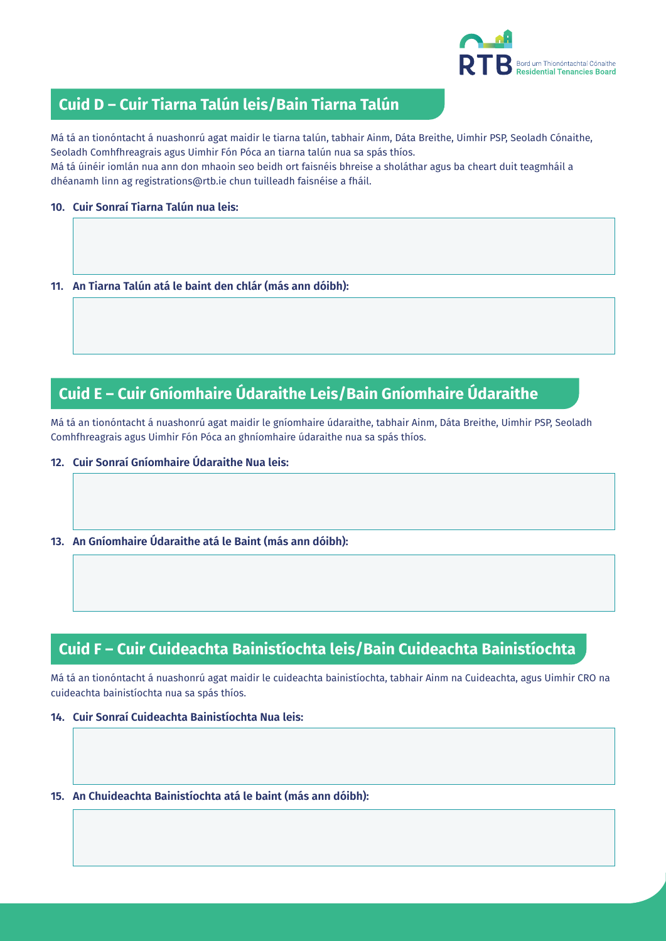

## **Cuid D – Cuir Tiarna Talún leis/Bain Tiarna Talún**

Má tá an tionóntacht á nuashonrú agat maidir le tiarna talún, tabhair Ainm, Dáta Breithe, Uimhir PSP, Seoladh Cónaithe, Seoladh Comhfhreagrais agus Uimhir Fón Póca an tiarna talún nua sa spás thíos. Má tá úinéir iomlán nua ann don mhaoin seo beidh ort faisnéis bhreise a sholáthar agus ba cheart duit teagmháil a dhéanamh linn ag registrations@rtb.ie chun tuilleadh faisnéise a fháil.

#### **10. Cuir Sonraí Tiarna Talún nua leis:**

**11. An Tiarna Talún atá le baint den chlár (más ann dóibh):**

# **Cuid E – Cuir Gníomhaire Údaraithe Leis/Bain Gníomhaire Údaraithe**

Má tá an tionóntacht á nuashonrú agat maidir le gníomhaire údaraithe, tabhair Ainm, Dáta Breithe, Uimhir PSP, Seoladh Comhfhreagrais agus Uimhir Fón Póca an ghníomhaire údaraithe nua sa spás thíos.

#### **12. Cuir Sonraí Gníomhaire Údaraithe Nua leis:**

**13. An Gníomhaire Údaraithe atá le Baint (más ann dóibh):**

## **Cuid F – Cuir Cuideachta Bainistíochta leis/Bain Cuideachta Bainistíochta**

Má tá an tionóntacht á nuashonrú agat maidir le cuideachta bainistíochta, tabhair Ainm na Cuideachta, agus Uimhir CRO na cuideachta bainistíochta nua sa spás thíos.

#### **14. Cuir Sonraí Cuideachta Bainistíochta Nua leis:**

**15. An Chuideachta Bainistíochta atá le baint (más ann dóibh):**